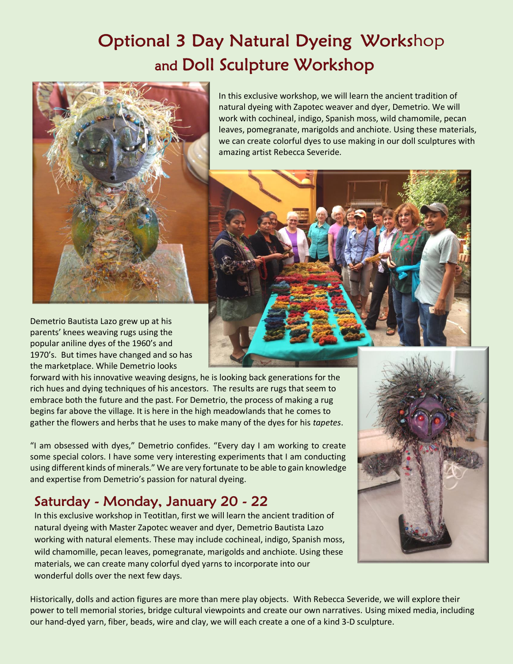# Optional 3 Day Natural Dyeing Workshop and Doll Sculpture Workshop



In this exclusive workshop, we will learn the ancient tradition of natural dyeing with Zapotec weaver and dyer, Demetrio. We will work with cochineal, indigo, Spanish moss, wild chamomile, pecan leaves, pomegranate, marigolds and anchiote. Using these materials, we can create colorful dyes to use making in our doll sculptures with amazing artist Rebecca Severide.

Demetrio Bautista Lazo grew up at his parents' knees weaving rugs using the popular aniline dyes of the 1960's and 1970's. But times have changed and so has the marketplace. While Demetrio looks

forward with his innovative weaving designs, he is looking back generations for the rich hues and dying techniques of his ancestors. The results are rugs that seem to embrace both the future and the past. For Demetrio, the process of making a rug begins far above the village. It is here in the high meadowlands that he comes to gather the flowers and herbs that he uses to make many of the dyes for his *tapetes*.

"I am obsessed with dyes," Demetrio confides. "Every day I am working to create some special colors. I have some very interesting experiments that I am conducting using different kinds of minerals." We are very fortunate to be able to gain knowledge and expertise from Demetrio's passion for natural dyeing.

## Saturday - Monday, January 20 - 22

In this exclusive workshop in Teotitlan, first we will learn the ancient tradition of natural dyeing with Master Zapotec weaver and dyer, Demetrio Bautista Lazo working with natural elements. These may include cochineal, indigo, Spanish moss, wild chamomille, pecan leaves, pomegranate, marigolds and anchiote. Using these materials, we can create many colorful dyed yarns to incorporate into our wonderful dolls over the next few days.

Historically, dolls and action figures are more than mere play objects. With Rebecca Severide, we will explore their power to tell memorial stories, bridge cultural viewpoints and create our own narratives. Using mixed media, including our hand-dyed yarn, fiber, beads, wire and clay, we will each create a one of a kind 3-D sculpture.